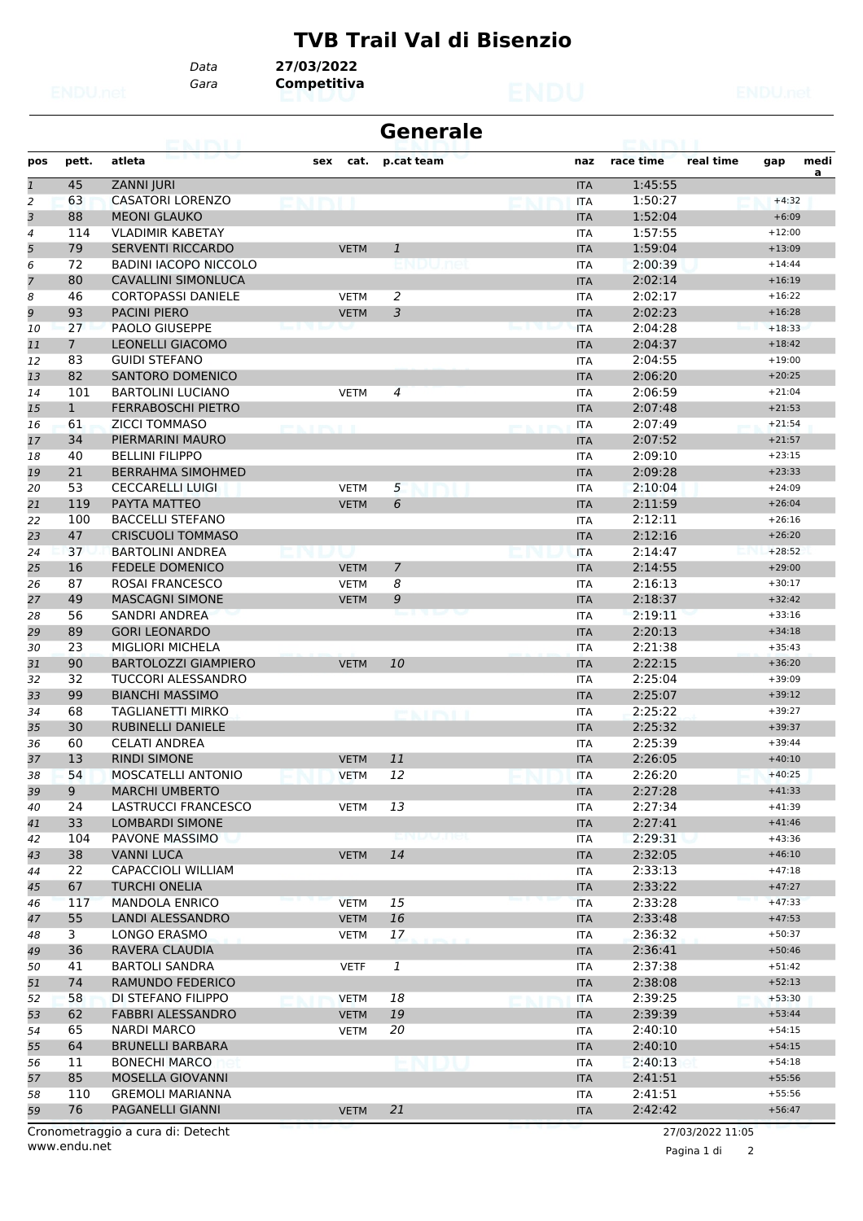## **TVB Trail Val di Bisenzio**

*Gara* **Competitiva** *Data* **27/03/2022**

|                |                | <b>NATION</b>                     |     |             | <b>Generale</b> |            |           |                  |          |      |
|----------------|----------------|-----------------------------------|-----|-------------|-----------------|------------|-----------|------------------|----------|------|
| pos            | pett.          | atleta                            | sex | cat.        | p.cat team      | naz        | race time | real time        | gap      | medi |
| $\mathbf{1}$   | 45             | <b>ZANNI JURI</b>                 |     |             |                 | <b>ITA</b> | 1:45:55   |                  |          | a    |
| $\overline{c}$ | 63             | <b>CASATORI LORENZO</b>           |     |             |                 | <b>ITA</b> | 1:50:27   |                  | $+4:32$  |      |
| 3              | 88             | <b>MEONI GLAUKO</b>               |     |             |                 | <b>ITA</b> | 1:52:04   |                  | $+6:09$  |      |
| 4              | 114            | <b>VLADIMIR KABETAY</b>           |     |             |                 | <b>ITA</b> | 1:57:55   |                  | $+12:00$ |      |
| 5              | 79             | <b>SERVENTI RICCARDO</b>          |     | <b>VETM</b> | 1               | <b>ITA</b> | 1:59:04   |                  | $+13:09$ |      |
| 6              | 72             | <b>BADINI IACOPO NICCOLO</b>      |     |             |                 | <b>ITA</b> | 2:00:39   |                  | $+14:44$ |      |
| 7              | 80             | <b>CAVALLINI SIMONLUCA</b>        |     |             |                 | <b>ITA</b> | 2:02:14   |                  | $+16:19$ |      |
| 8              | 46             | <b>CORTOPASSI DANIELE</b>         |     | <b>VETM</b> | 2               | <b>ITA</b> | 2:02:17   |                  | $+16:22$ |      |
| 9              | 93             | <b>PACINI PIERO</b>               |     | <b>VETM</b> | 3               | <b>ITA</b> | 2:02:23   |                  | $+16:28$ |      |
| 10             | 27             | <b>PAOLO GIUSEPPE</b>             |     |             |                 | <b>ITA</b> | 2:04:28   |                  | $+18:33$ |      |
| 11             | $\overline{7}$ | <b>LEONELLI GIACOMO</b>           |     |             |                 | <b>ITA</b> | 2:04:37   |                  | $+18:42$ |      |
| 12             | 83             | <b>GUIDI STEFANO</b>              |     |             |                 | <b>ITA</b> | 2:04:55   |                  | $+19:00$ |      |
| 13             | 82             | <b>SANTORO DOMENICO</b>           |     |             |                 | <b>ITA</b> | 2:06:20   |                  | $+20:25$ |      |
| 14             | 101            | <b>BARTOLINI LUCIANO</b>          |     | <b>VETM</b> | $\overline{4}$  | <b>ITA</b> | 2:06:59   |                  | $+21:04$ |      |
| 15             | $\mathbf{1}$   | <b>FERRABOSCHI PIETRO</b>         |     |             |                 | <b>ITA</b> | 2:07:48   |                  | $+21:53$ |      |
| 16             | 61             | <b>ZICCI TOMMASO</b>              |     |             |                 | <b>ITA</b> | 2:07:49   |                  | $+21:54$ |      |
| 17             | 34             | PIERMARINI MAURO                  |     |             |                 | <b>ITA</b> | 2:07:52   |                  | $+21:57$ |      |
| 18             | 40             | <b>BELLINI FILIPPO</b>            |     |             |                 | <b>ITA</b> | 2:09:10   |                  | $+23:15$ |      |
| 19             | 21             | <b>BERRAHMA SIMOHMED</b>          |     |             |                 | <b>ITA</b> | 2:09:28   |                  | $+23:33$ |      |
| 20             | 53             | <b>CECCARELLI LUIGI</b>           |     | <b>VETM</b> | 5               | <b>ITA</b> | 2:10:04   |                  | $+24:09$ |      |
| 21             | 119            | PAYTA MATTEO                      |     | <b>VETM</b> | 6               | <b>ITA</b> | 2:11:59   |                  | $+26:04$ |      |
| 22             | 100            | <b>BACCELLI STEFANO</b>           |     |             |                 | <b>ITA</b> | 2:12:11   |                  | $+26:16$ |      |
| 23             | 47             | <b>CRISCUOLI TOMMASO</b>          |     |             |                 | <b>ITA</b> | 2:12:16   |                  | $+26:20$ |      |
| 24             | 37             | <b>BARTOLINI ANDREA</b>           |     |             |                 | <b>ITA</b> | 2:14:47   |                  | $+28:52$ |      |
| 25             | 16             | <b>FEDELE DOMENICO</b>            |     | <b>VETM</b> | 7               | <b>ITA</b> | 2:14:55   |                  | $+29:00$ |      |
| 26             | 87             | <b>ROSAI FRANCESCO</b>            |     | <b>VETM</b> | 8               | <b>ITA</b> | 2:16:13   |                  | $+30:17$ |      |
| 27             | 49             | <b>MASCAGNI SIMONE</b>            |     | <b>VETM</b> | 9               | <b>ITA</b> | 2:18:37   |                  | $+32:42$ |      |
| 28             | 56             | SANDRI ANDREA                     |     |             |                 | <b>ITA</b> | 2:19:11   |                  | $+33:16$ |      |
| 29             | 89             | <b>GORI LEONARDO</b>              |     |             |                 | <b>ITA</b> | 2:20:13   |                  | $+34:18$ |      |
| 30             | 23             | <b>MIGLIORI MICHELA</b>           |     |             |                 | <b>ITA</b> | 2:21:38   |                  | $+35:43$ |      |
| 31             | 90             | <b>BARTOLOZZI GIAMPIERO</b>       |     | <b>VETM</b> | 10              | <b>ITA</b> | 2:22:15   |                  | $+36:20$ |      |
| 32             | 32             | <b>TUCCORI ALESSANDRO</b>         |     |             |                 | <b>ITA</b> | 2:25:04   |                  | $+39:09$ |      |
| 33             | 99             | <b>BIANCHI MASSIMO</b>            |     |             |                 | <b>ITA</b> | 2:25:07   |                  | $+39:12$ |      |
| 34             | 68             | TAGLIANETTI MIRKO                 |     |             |                 | <b>ITA</b> | 2:25:22   |                  | $+39:27$ |      |
| 35             | 30             | <b>RUBINELLI DANIELE</b>          |     |             |                 | <b>ITA</b> | 2:25:32   |                  | $+39:37$ |      |
| 36             | 60             | <b>CELATI ANDREA</b>              |     |             |                 | <b>ITA</b> | 2:25:39   |                  | $+39:44$ |      |
| 37             | 13             | <b>RINDI SIMONE</b>               |     | <b>VETM</b> | 11              | <b>ITA</b> | 2:26:05   |                  | $+40:10$ |      |
| 38             | 54             | MOSCATELLI ANTONIO                |     | <b>VETM</b> | 12              | <b>ITA</b> | 2:26:20   |                  | $+40:25$ |      |
| 39             | 9              | <b>MARCHI UMBERTO</b>             |     |             |                 | <b>ITA</b> | 2:27:28   |                  | $+41:33$ |      |
| 40             | 24             | LASTRUCCI FRANCESCO               |     | <b>VETM</b> | 13              | ITA        | 2:27:34   |                  | $+41:39$ |      |
| 41             | 33             | LOMBARDI SIMONE                   |     |             |                 | <b>ITA</b> | 2:27:41   |                  | $+41:46$ |      |
| 42             | 104            | PAVONE MASSIMO                    |     |             | enuudel         | ITA        | 2:29:31   |                  | $+43:36$ |      |
| 43             | 38             | <b>VANNI LUCA</b>                 |     | <b>VETM</b> | 14              | <b>ITA</b> | 2:32:05   |                  | $+46:10$ |      |
| 44             | 22             | <b>CAPACCIOLI WILLIAM</b>         |     |             |                 | ITA        | 2:33:13   |                  | $+47:18$ |      |
| 45             | 67             | <b>TURCHI ONELIA</b>              |     |             |                 | <b>ITA</b> | 2:33:22   |                  | $+47:27$ |      |
| 46             | 117            | <b>MANDOLA ENRICO</b>             |     | <b>VETM</b> | 15              | <b>ITA</b> | 2:33:28   |                  | $+47:33$ |      |
| 47             | 55             | <b>LANDI ALESSANDRO</b>           |     | <b>VETM</b> | 16              | <b>ITA</b> | 2:33:48   |                  | $+47:53$ |      |
| 48             | 3              | LONGO ERASMO                      |     | <b>VETM</b> | 17              | ITA        | 2:36:32   |                  | $+50:37$ |      |
| 49             | 36             | RAVERA CLAUDIA                    |     |             |                 | <b>ITA</b> | 2:36:41   |                  | $+50:46$ |      |
| 50             | 41             | <b>BARTOLI SANDRA</b>             |     | <b>VETF</b> | $\mathbf{1}$    | ITA        | 2:37:38   |                  | $+51:42$ |      |
| 51             | 74             | RAMUNDO FEDERICO                  |     |             |                 | <b>ITA</b> | 2:38:08   |                  | $+52:13$ |      |
| 52             | 58             | DI STEFANO FILIPPO                |     | <b>VETM</b> | 18              | <b>ITA</b> | 2:39:25   |                  | $+53:30$ |      |
| 53             | 62             | FABBRI ALESSANDRO                 |     | <b>VETM</b> | 19              | <b>ITA</b> | 2:39:39   |                  | $+53:44$ |      |
| 54             | 65             | NARDI MARCO                       |     | <b>VETM</b> | 20              | ITA        | 2:40:10   |                  | $+54:15$ |      |
| 55             | 64             | <b>BRUNELLI BARBARA</b>           |     |             |                 | <b>ITA</b> | 2:40:10   |                  | $+54:15$ |      |
| 56             | 11             | <b>BONECHI MARCO</b>              |     |             |                 | <b>ITA</b> | 2:40:13   |                  | $+54:18$ |      |
| 57             | 85             | <b>MOSELLA GIOVANNI</b>           |     |             |                 | <b>ITA</b> | 2:41:51   |                  | $+55:56$ |      |
| 58             | 110            | <b>GREMOLI MARIANNA</b>           |     |             |                 | ITA        | 2:41:51   |                  | $+55:56$ |      |
| 59             | 76             | PAGANELLI GIANNI                  |     | <b>VETM</b> | 21              | <b>ITA</b> | 2:42:42   |                  | $+56:47$ |      |
|                |                |                                   |     |             |                 |            |           |                  |          |      |
|                |                | Cronometraggio a cura di: Detecht |     |             |                 |            |           | 27/03/2022 11:05 |          |      |

www.endu.net

Pagina 1 di 2